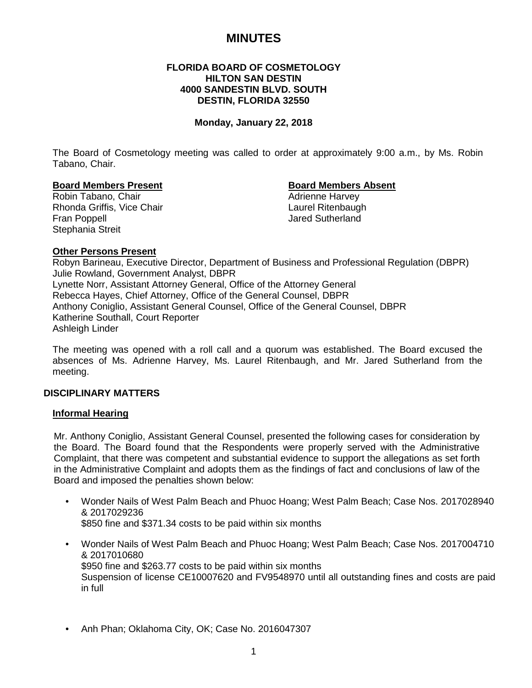## **MINUTES**

## **FLORIDA BOARD OF COSMETOLOGY HILTON SAN DESTIN 4000 SANDESTIN BLVD. SOUTH DESTIN, FLORIDA 32550**

#### **Monday, January 22, 2018**

The Board of Cosmetology meeting was called to order at approximately 9:00 a.m., by Ms. Robin Tabano, Chair.

# **Board Members Present Board Members Absent**

Robin Tabano, Chair Rhonda Griffis, Vice Chair **Laurel Ritenbaugh**<br>
Fran Poppell **Laurel Ritenbaugh**<br>
Jared Sutherland Stephania Streit

**Jared Sutherland** 

#### **Other Persons Present**

Robyn Barineau, Executive Director, Department of Business and Professional Regulation (DBPR) Julie Rowland, Government Analyst, DBPR Lynette Norr, Assistant Attorney General, Office of the Attorney General Rebecca Hayes, Chief Attorney, Office of the General Counsel, DBPR Anthony Coniglio, Assistant General Counsel, Office of the General Counsel, DBPR Katherine Southall, Court Reporter Ashleigh Linder

The meeting was opened with a roll call and a quorum was established. The Board excused the absences of Ms. Adrienne Harvey, Ms. Laurel Ritenbaugh, and Mr. Jared Sutherland from the meeting.

#### **DISCIPLINARY MATTERS**

#### **Informal Hearing**

Mr. Anthony Coniglio, Assistant General Counsel, presented the following cases for consideration by the Board. The Board found that the Respondents were properly served with the Administrative Complaint, that there was competent and substantial evidence to support the allegations as set forth in the Administrative Complaint and adopts them as the findings of fact and conclusions of law of the Board and imposed the penalties shown below:

- Wonder Nails of West Palm Beach and Phuoc Hoang; West Palm Beach; Case Nos. 2017028940 & 2017029236 \$850 fine and \$371.34 costs to be paid within six months
- Wonder Nails of West Palm Beach and Phuoc Hoang; West Palm Beach; Case Nos. 2017004710 & 2017010680 \$950 fine and \$263.77 costs to be paid within six months Suspension of license CE10007620 and FV9548970 until all outstanding fines and costs are paid in full
- Anh Phan; Oklahoma City, OK; Case No. 2016047307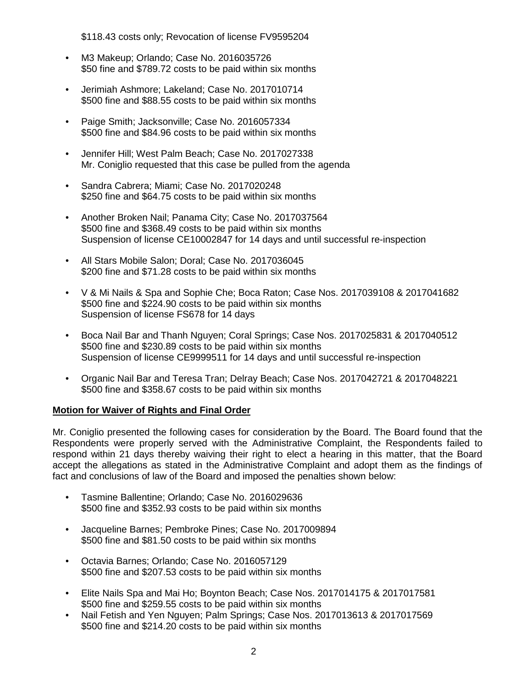\$118.43 costs only; Revocation of license FV9595204

- M3 Makeup; Orlando; Case No. 2016035726 \$50 fine and \$789.72 costs to be paid within six months
- Jerimiah Ashmore; Lakeland; Case No. 2017010714 \$500 fine and \$88.55 costs to be paid within six months
- Paige Smith; Jacksonville; Case No. 2016057334 \$500 fine and \$84.96 costs to be paid within six months
- Jennifer Hill; West Palm Beach; Case No. 2017027338 Mr. Coniglio requested that this case be pulled from the agenda
- Sandra Cabrera; Miami; Case No. 2017020248 \$250 fine and \$64.75 costs to be paid within six months
- Another Broken Nail; Panama City; Case No. 2017037564 \$500 fine and \$368.49 costs to be paid within six months Suspension of license CE10002847 for 14 days and until successful re-inspection
- All Stars Mobile Salon; Doral; Case No. 2017036045 \$200 fine and \$71.28 costs to be paid within six months
- V & Mi Nails & Spa and Sophie Che; Boca Raton; Case Nos. 2017039108 & 2017041682 \$500 fine and \$224.90 costs to be paid within six months Suspension of license FS678 for 14 days
- Boca Nail Bar and Thanh Nguyen; Coral Springs; Case Nos. 2017025831 & 2017040512 \$500 fine and \$230.89 costs to be paid within six months Suspension of license CE9999511 for 14 days and until successful re-inspection
- Organic Nail Bar and Teresa Tran; Delray Beach; Case Nos. 2017042721 & 2017048221 \$500 fine and \$358.67 costs to be paid within six months

## **Motion for Waiver of Rights and Final Order**

Mr. Coniglio presented the following cases for consideration by the Board. The Board found that the Respondents were properly served with the Administrative Complaint, the Respondents failed to respond within 21 days thereby waiving their right to elect a hearing in this matter, that the Board accept the allegations as stated in the Administrative Complaint and adopt them as the findings of fact and conclusions of law of the Board and imposed the penalties shown below:

- Tasmine Ballentine; Orlando; Case No. 2016029636 \$500 fine and \$352.93 costs to be paid within six months
- Jacqueline Barnes; Pembroke Pines; Case No. 2017009894 \$500 fine and \$81.50 costs to be paid within six months
- Octavia Barnes; Orlando; Case No. 2016057129 \$500 fine and \$207.53 costs to be paid within six months
- Elite Nails Spa and Mai Ho; Boynton Beach; Case Nos. 2017014175 & 2017017581 \$500 fine and \$259.55 costs to be paid within six months
- Nail Fetish and Yen Nguyen; Palm Springs; Case Nos. 2017013613 & 2017017569 \$500 fine and \$214.20 costs to be paid within six months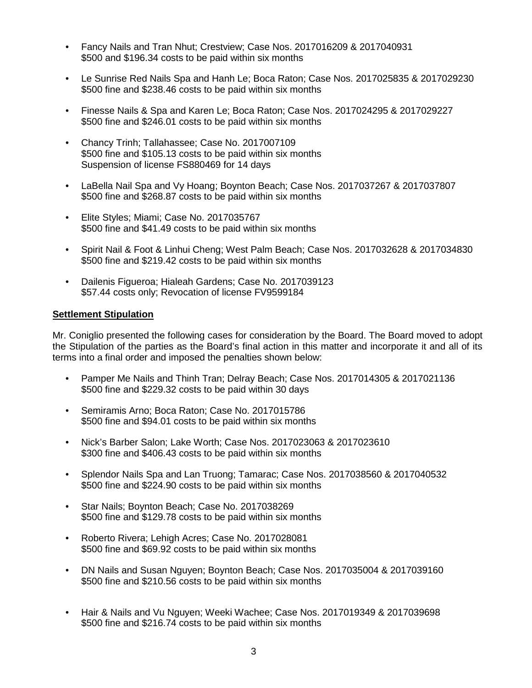- Fancy Nails and Tran Nhut; Crestview; Case Nos. 2017016209 & 2017040931 \$500 and \$196.34 costs to be paid within six months
- Le Sunrise Red Nails Spa and Hanh Le; Boca Raton; Case Nos. 2017025835 & 2017029230 \$500 fine and \$238.46 costs to be paid within six months
- Finesse Nails & Spa and Karen Le; Boca Raton; Case Nos. 2017024295 & 2017029227 \$500 fine and \$246.01 costs to be paid within six months
- Chancy Trinh; Tallahassee; Case No. 2017007109 \$500 fine and \$105.13 costs to be paid within six months Suspension of license FS880469 for 14 days
- LaBella Nail Spa and Vy Hoang; Boynton Beach; Case Nos. 2017037267 & 2017037807 \$500 fine and \$268.87 costs to be paid within six months
- Elite Styles; Miami; Case No. 2017035767 \$500 fine and \$41.49 costs to be paid within six months
- Spirit Nail & Foot & Linhui Cheng; West Palm Beach; Case Nos. 2017032628 & 2017034830 \$500 fine and \$219.42 costs to be paid within six months
- Dailenis Figueroa; Hialeah Gardens; Case No. 2017039123 \$57.44 costs only; Revocation of license FV9599184

## **Settlement Stipulation**

Mr. Coniglio presented the following cases for consideration by the Board. The Board moved to adopt the Stipulation of the parties as the Board's final action in this matter and incorporate it and all of its terms into a final order and imposed the penalties shown below:

- Pamper Me Nails and Thinh Tran; Delray Beach; Case Nos. 2017014305 & 2017021136 \$500 fine and \$229.32 costs to be paid within 30 days
- Semiramis Arno; Boca Raton; Case No. 2017015786 \$500 fine and \$94.01 costs to be paid within six months
- Nick's Barber Salon; Lake Worth; Case Nos. 2017023063 & 2017023610 \$300 fine and \$406.43 costs to be paid within six months
- Splendor Nails Spa and Lan Truong; Tamarac; Case Nos. 2017038560 & 2017040532 \$500 fine and \$224.90 costs to be paid within six months
- Star Nails; Boynton Beach; Case No. 2017038269 \$500 fine and \$129.78 costs to be paid within six months
- Roberto Rivera; Lehigh Acres; Case No. 2017028081 \$500 fine and \$69.92 costs to be paid within six months
- DN Nails and Susan Nguyen; Boynton Beach; Case Nos. 2017035004 & 2017039160 \$500 fine and \$210.56 costs to be paid within six months
- Hair & Nails and Vu Nguyen; Weeki Wachee; Case Nos. 2017019349 & 2017039698 \$500 fine and \$216.74 costs to be paid within six months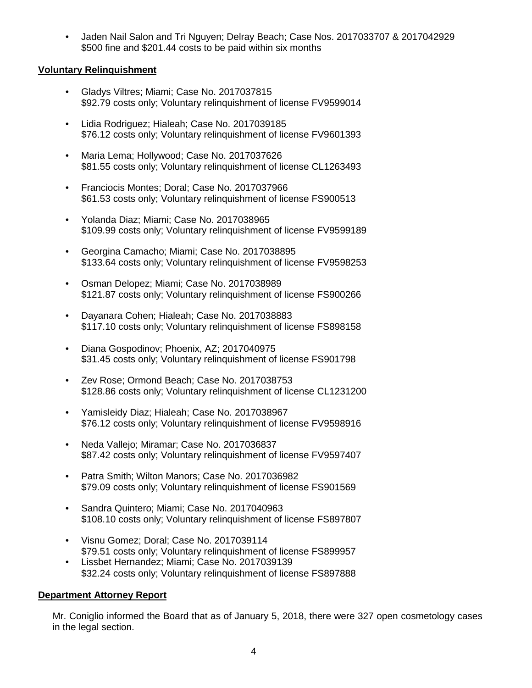• Jaden Nail Salon and Tri Nguyen; Delray Beach; Case Nos. 2017033707 & 2017042929 \$500 fine and \$201.44 costs to be paid within six months

## **Voluntary Relinquishment**

- Gladys Viltres; Miami; Case No. 2017037815 \$92.79 costs only; Voluntary relinquishment of license FV9599014
- Lidia Rodriguez; Hialeah; Case No. 2017039185 \$76.12 costs only: Voluntary relinquishment of license FV9601393
- Maria Lema; Hollywood; Case No. 2017037626 \$81.55 costs only; Voluntary relinquishment of license CL1263493
- Franciocis Montes; Doral; Case No. 2017037966 \$61.53 costs only; Voluntary relinquishment of license FS900513
- Yolanda Diaz; Miami; Case No. 2017038965 \$109.99 costs only; Voluntary relinquishment of license FV9599189
- Georgina Camacho; Miami; Case No. 2017038895 \$133.64 costs only; Voluntary relinquishment of license FV9598253
- Osman Delopez; Miami; Case No. 2017038989 \$121.87 costs only; Voluntary relinquishment of license FS900266
- Dayanara Cohen; Hialeah; Case No. 2017038883 \$117.10 costs only; Voluntary relinquishment of license FS898158
- Diana Gospodinov; Phoenix, AZ; 2017040975 \$31.45 costs only: Voluntary relinquishment of license FS901798
- Zev Rose; Ormond Beach; Case No. 2017038753 \$128.86 costs only; Voluntary relinquishment of license CL1231200
- Yamisleidy Diaz; Hialeah; Case No. 2017038967 \$76.12 costs only; Voluntary relinquishment of license FV9598916
- Neda Vallejo; Miramar; Case No. 2017036837 \$87.42 costs only; Voluntary relinquishment of license FV9597407
- Patra Smith; Wilton Manors; Case No. 2017036982 \$79.09 costs only; Voluntary relinquishment of license FS901569
- Sandra Quintero; Miami; Case No. 2017040963 \$108.10 costs only; Voluntary relinquishment of license FS897807
- Visnu Gomez; Doral; Case No. 2017039114 \$79.51 costs only; Voluntary relinquishment of license FS899957
- Lissbet Hernandez; Miami; Case No. 2017039139 \$32.24 costs only; Voluntary relinquishment of license FS897888

## **Department Attorney Report**

Mr. Coniglio informed the Board that as of January 5, 2018, there were 327 open cosmetology cases in the legal section.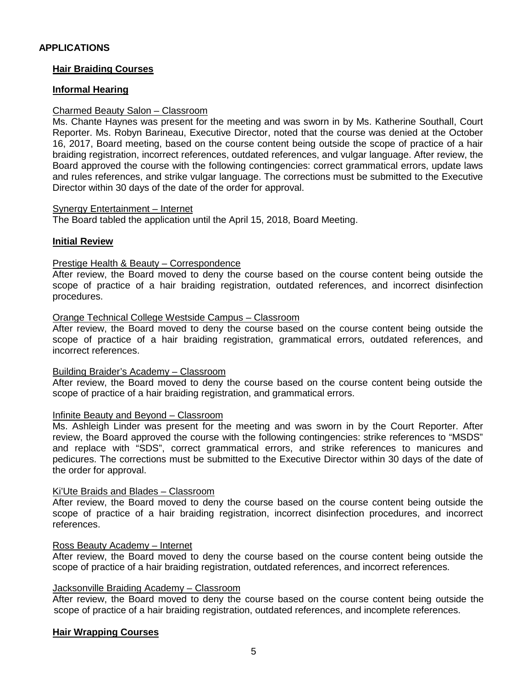## **Hair Braiding Courses**

## **Informal Hearing**

#### Charmed Beauty Salon – Classroom

Ms. Chante Haynes was present for the meeting and was sworn in by Ms. Katherine Southall, Court Reporter. Ms. Robyn Barineau, Executive Director, noted that the course was denied at the October 16, 2017, Board meeting, based on the course content being outside the scope of practice of a hair braiding registration, incorrect references, outdated references, and vulgar language. After review, the Board approved the course with the following contingencies: correct grammatical errors, update laws and rules references, and strike vulgar language. The corrections must be submitted to the Executive Director within 30 days of the date of the order for approval.

#### Synergy Entertainment – Internet

The Board tabled the application until the April 15, 2018, Board Meeting.

#### **Initial Review**

#### Prestige Health & Beauty – Correspondence

After review, the Board moved to deny the course based on the course content being outside the scope of practice of a hair braiding registration, outdated references, and incorrect disinfection procedures.

#### Orange Technical College Westside Campus – Classroom

After review, the Board moved to deny the course based on the course content being outside the scope of practice of a hair braiding registration, grammatical errors, outdated references, and incorrect references.

#### Building Braider's Academy – Classroom

After review, the Board moved to deny the course based on the course content being outside the scope of practice of a hair braiding registration, and grammatical errors.

#### Infinite Beauty and Beyond – Classroom

Ms. Ashleigh Linder was present for the meeting and was sworn in by the Court Reporter. After review, the Board approved the course with the following contingencies: strike references to "MSDS" and replace with "SDS", correct grammatical errors, and strike references to manicures and pedicures. The corrections must be submitted to the Executive Director within 30 days of the date of the order for approval.

#### Ki'Ute Braids and Blades – Classroom

After review, the Board moved to deny the course based on the course content being outside the scope of practice of a hair braiding registration, incorrect disinfection procedures, and incorrect references.

#### Ross Beauty Academy – Internet

After review, the Board moved to deny the course based on the course content being outside the scope of practice of a hair braiding registration, outdated references, and incorrect references.

## Jacksonville Braiding Academy – Classroom

After review, the Board moved to deny the course based on the course content being outside the scope of practice of a hair braiding registration, outdated references, and incomplete references.

#### **Hair Wrapping Courses**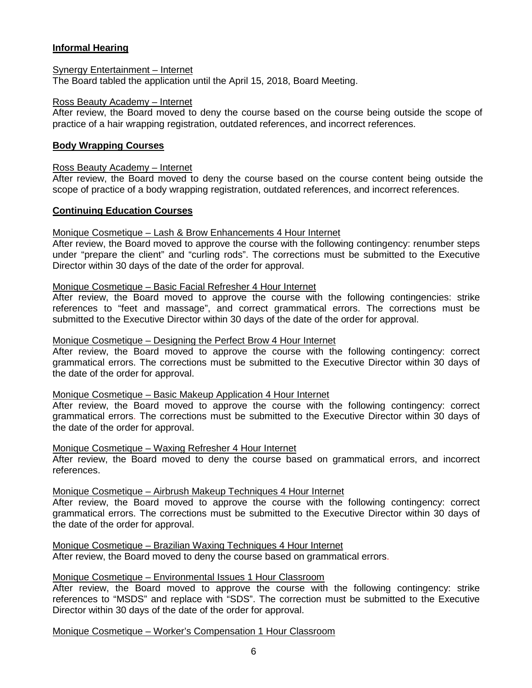## **Informal Hearing**

#### Synergy Entertainment – Internet

The Board tabled the application until the April 15, 2018, Board Meeting.

#### Ross Beauty Academy – Internet

After review, the Board moved to deny the course based on the course being outside the scope of practice of a hair wrapping registration, outdated references, and incorrect references.

## **Body Wrapping Courses**

#### Ross Beauty Academy – Internet

After review, the Board moved to deny the course based on the course content being outside the scope of practice of a body wrapping registration, outdated references, and incorrect references.

## **Continuing Education Courses**

## Monique Cosmetique – Lash & Brow Enhancements 4 Hour Internet

After review, the Board moved to approve the course with the following contingency: renumber steps under "prepare the client" and "curling rods". The corrections must be submitted to the Executive Director within 30 days of the date of the order for approval.

#### Monique Cosmetique – Basic Facial Refresher 4 Hour Internet

After review, the Board moved to approve the course with the following contingencies: strike references to "feet and massage", and correct grammatical errors. The corrections must be submitted to the Executive Director within 30 days of the date of the order for approval.

#### Monique Cosmetique – Designing the Perfect Brow 4 Hour Internet

After review, the Board moved to approve the course with the following contingency: correct grammatical errors. The corrections must be submitted to the Executive Director within 30 days of the date of the order for approval.

#### Monique Cosmetique – Basic Makeup Application 4 Hour Internet

After review, the Board moved to approve the course with the following contingency: correct grammatical errors. The corrections must be submitted to the Executive Director within 30 days of the date of the order for approval.

#### Monique Cosmetique – Waxing Refresher 4 Hour Internet

After review, the Board moved to deny the course based on grammatical errors, and incorrect references.

#### Monique Cosmetique – Airbrush Makeup Techniques 4 Hour Internet

After review, the Board moved to approve the course with the following contingency: correct grammatical errors. The corrections must be submitted to the Executive Director within 30 days of the date of the order for approval.

#### Monique Cosmetique – Brazilian Waxing Techniques 4 Hour Internet

After review, the Board moved to deny the course based on grammatical errors.

## Monique Cosmetique – Environmental Issues 1 Hour Classroom

After review, the Board moved to approve the course with the following contingency: strike references to "MSDS" and replace with "SDS". The correction must be submitted to the Executive Director within 30 days of the date of the order for approval.

Monique Cosmetique – Worker's Compensation 1 Hour Classroom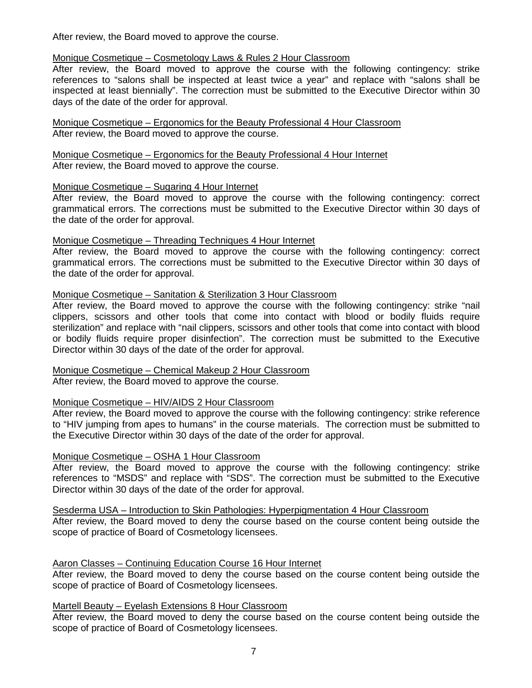After review, the Board moved to approve the course.

## Monique Cosmetique – Cosmetology Laws & Rules 2 Hour Classroom

After review, the Board moved to approve the course with the following contingency: strike references to "salons shall be inspected at least twice a year" and replace with "salons shall be inspected at least biennially". The correction must be submitted to the Executive Director within 30 days of the date of the order for approval.

Monique Cosmetique – Ergonomics for the Beauty Professional 4 Hour Classroom After review, the Board moved to approve the course.

Monique Cosmetique – Ergonomics for the Beauty Professional 4 Hour Internet After review, the Board moved to approve the course.

## Monique Cosmetique – Sugaring 4 Hour Internet

After review, the Board moved to approve the course with the following contingency: correct grammatical errors. The corrections must be submitted to the Executive Director within 30 days of the date of the order for approval.

## Monique Cosmetique – Threading Techniques 4 Hour Internet

After review, the Board moved to approve the course with the following contingency: correct grammatical errors. The corrections must be submitted to the Executive Director within 30 days of the date of the order for approval.

## Monique Cosmetique – Sanitation & Sterilization 3 Hour Classroom

After review, the Board moved to approve the course with the following contingency: strike "nail clippers, scissors and other tools that come into contact with blood or bodily fluids require sterilization" and replace with "nail clippers, scissors and other tools that come into contact with blood or bodily fluids require proper disinfection". The correction must be submitted to the Executive Director within 30 days of the date of the order for approval.

## Monique Cosmetique – Chemical Makeup 2 Hour Classroom

After review, the Board moved to approve the course.

## Monique Cosmetique – HIV/AIDS 2 Hour Classroom

After review, the Board moved to approve the course with the following contingency: strike reference to "HIV jumping from apes to humans" in the course materials. The correction must be submitted to the Executive Director within 30 days of the date of the order for approval.

#### Monique Cosmetique – OSHA 1 Hour Classroom

After review, the Board moved to approve the course with the following contingency: strike references to "MSDS" and replace with "SDS". The correction must be submitted to the Executive Director within 30 days of the date of the order for approval.

Sesderma USA – Introduction to Skin Pathologies: Hyperpigmentation 4 Hour Classroom

After review, the Board moved to deny the course based on the course content being outside the scope of practice of Board of Cosmetology licensees.

## Aaron Classes – Continuing Education Course 16 Hour Internet

After review, the Board moved to deny the course based on the course content being outside the scope of practice of Board of Cosmetology licensees.

Martell Beauty – Eyelash Extensions 8 Hour Classroom

After review, the Board moved to deny the course based on the course content being outside the scope of practice of Board of Cosmetology licensees.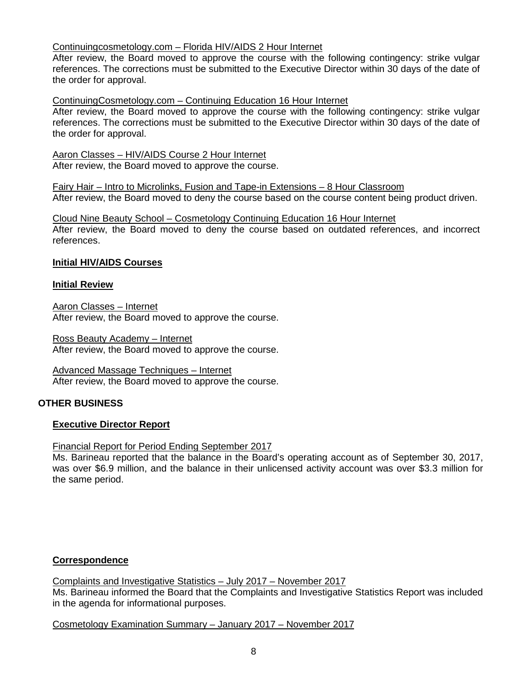## Continuingcosmetology.com – Florida HIV/AIDS 2 Hour Internet

After review, the Board moved to approve the course with the following contingency: strike vulgar references. The corrections must be submitted to the Executive Director within 30 days of the date of the order for approval.

ContinuingCosmetology.com – Continuing Education 16 Hour Internet

After review, the Board moved to approve the course with the following contingency: strike vulgar references. The corrections must be submitted to the Executive Director within 30 days of the date of the order for approval.

Aaron Classes – HIV/AIDS Course 2 Hour Internet After review, the Board moved to approve the course.

Fairy Hair – Intro to Microlinks, Fusion and Tape-in Extensions – 8 Hour Classroom After review, the Board moved to deny the course based on the course content being product driven.

Cloud Nine Beauty School – Cosmetology Continuing Education 16 Hour Internet After review, the Board moved to deny the course based on outdated references, and incorrect references.

## **Initial HIV/AIDS Courses**

#### **Initial Review**

Aaron Classes – Internet After review, the Board moved to approve the course.

Ross Beauty Academy – Internet After review, the Board moved to approve the course.

## Advanced Massage Techniques – Internet

After review, the Board moved to approve the course.

#### **OTHER BUSINESS**

#### **Executive Director Report**

Financial Report for Period Ending September 2017

Ms. Barineau reported that the balance in the Board's operating account as of September 30, 2017, was over \$6.9 million, and the balance in their unlicensed activity account was over \$3.3 million for the same period.

## **Correspondence**

Complaints and Investigative Statistics – July 2017 – November 2017 Ms. Barineau informed the Board that the Complaints and Investigative Statistics Report was included in the agenda for informational purposes.

Cosmetology Examination Summary – January 2017 – November 2017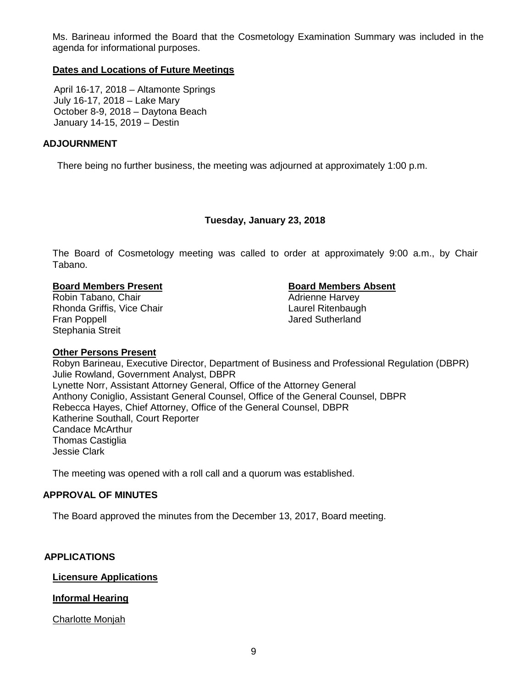Ms. Barineau informed the Board that the Cosmetology Examination Summary was included in the agenda for informational purposes.

## **Dates and Locations of Future Meetings**

April 16-17, 2018 – Altamonte Springs July 16-17, 2018 – Lake Mary October 8-9, 2018 – Daytona Beach January 14-15, 2019 – Destin

## **ADJOURNMENT**

There being no further business, the meeting was adjourned at approximately 1:00 p.m.

## **Tuesday, January 23, 2018**

The Board of Cosmetology meeting was called to order at approximately 9:00 a.m., by Chair Tabano.

## **Board Members Present Board Members Absent**

Robin Tabano, Chair **Adrienne Harvey Adrienne Harvey** Rhonda Griffis, Vice Chair **Laurel Ritenbaugh** Laurel Ritenbaugh Fran Poppell **Fran Poppell Jared Sutherland** Stephania Streit

#### **Other Persons Present**

Robyn Barineau, Executive Director, Department of Business and Professional Regulation (DBPR) Julie Rowland, Government Analyst, DBPR Lynette Norr, Assistant Attorney General, Office of the Attorney General Anthony Coniglio, Assistant General Counsel, Office of the General Counsel, DBPR Rebecca Hayes, Chief Attorney, Office of the General Counsel, DBPR Katherine Southall, Court Reporter Candace McArthur Thomas Castiglia Jessie Clark

The meeting was opened with a roll call and a quorum was established.

## **APPROVAL OF MINUTES**

The Board approved the minutes from the December 13, 2017, Board meeting.

## **APPLICATIONS**

#### **Licensure Applications**

## **Informal Hearing**

Charlotte Monjah